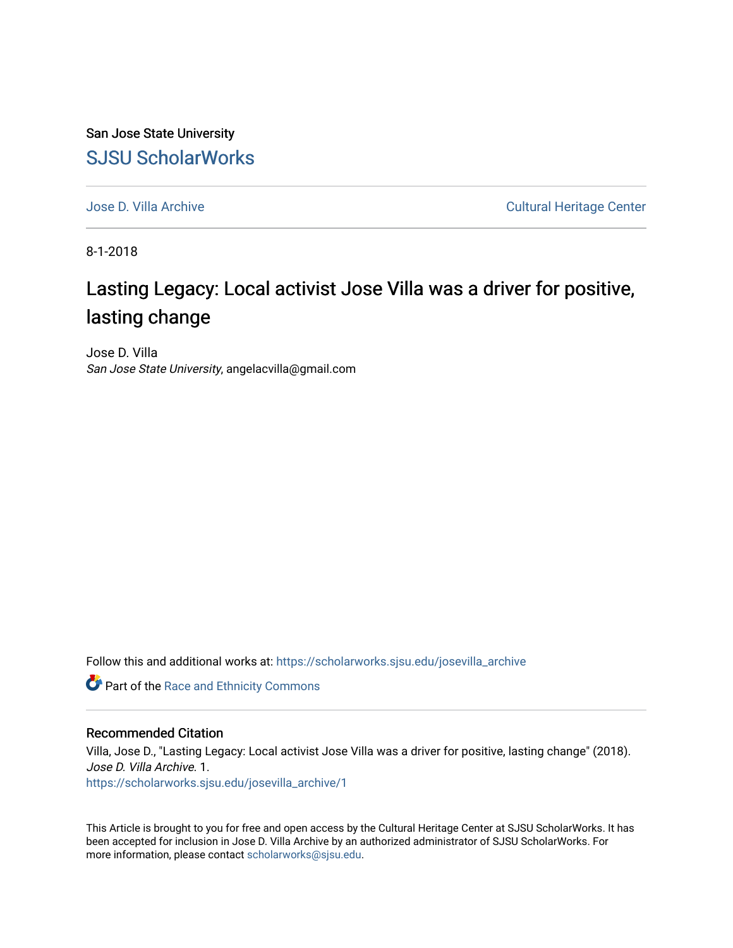San Jose State University [SJSU ScholarWorks](https://scholarworks.sjsu.edu/) 

[Jose D. Villa Archive](https://scholarworks.sjsu.edu/josevilla_archive) Cultural Heritage Center

8-1-2018

## Lasting Legacy: Local activist Jose Villa was a driver for positive, lasting change

Jose D. Villa San Jose State University, angelacvilla@gmail.com

Follow this and additional works at: [https://scholarworks.sjsu.edu/josevilla\\_archive](https://scholarworks.sjsu.edu/josevilla_archive?utm_source=scholarworks.sjsu.edu%2Fjosevilla_archive%2F1&utm_medium=PDF&utm_campaign=PDFCoverPages) 

**Part of the Race and Ethnicity Commons** 

## Recommended Citation

Villa, Jose D., "Lasting Legacy: Local activist Jose Villa was a driver for positive, lasting change" (2018). Jose D. Villa Archive. 1. [https://scholarworks.sjsu.edu/josevilla\\_archive/1](https://scholarworks.sjsu.edu/josevilla_archive/1?utm_source=scholarworks.sjsu.edu%2Fjosevilla_archive%2F1&utm_medium=PDF&utm_campaign=PDFCoverPages)

This Article is brought to you for free and open access by the Cultural Heritage Center at SJSU ScholarWorks. It has been accepted for inclusion in Jose D. Villa Archive by an authorized administrator of SJSU ScholarWorks. For more information, please contact [scholarworks@sjsu.edu.](mailto:scholarworks@sjsu.edu)